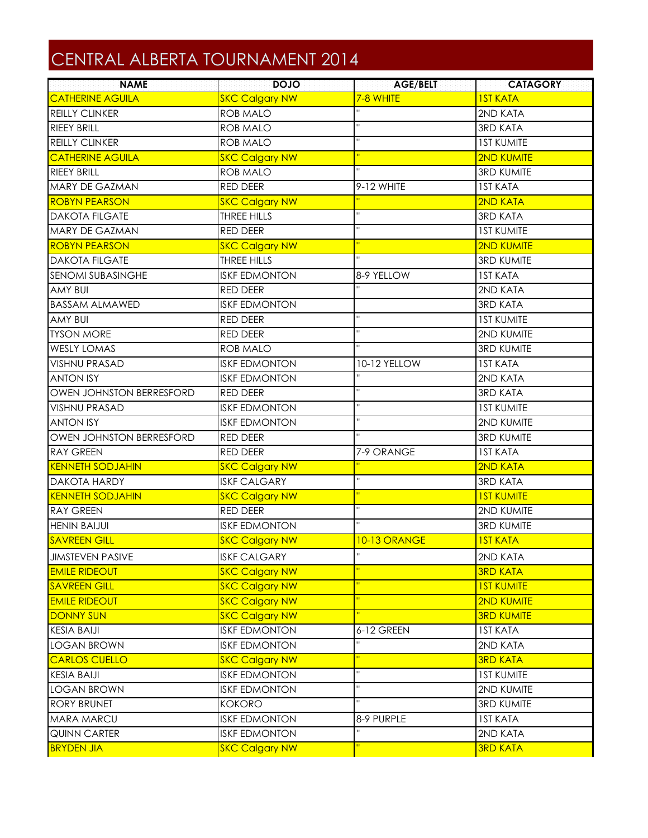## CENTRAL ALBERTA TOURNAMENT 2014

| <b>NAME</b>              | <b>DOJO</b>           | <b>AGE/BELT</b>         | <b>CATAGORY</b>   |
|--------------------------|-----------------------|-------------------------|-------------------|
| <b>CATHERINE AGUILA</b>  | <b>SKC Calgary NW</b> | 7-8 WHITE               | <b>IST KATA</b>   |
| <b>REILLY CLINKER</b>    | <b>ROB MALO</b>       |                         | 2ND KATA          |
| <b>RIEEY BRILL</b>       | <b>ROB MALO</b>       | Ĥ.                      | <b>3RD KATA</b>   |
| <b>REILLY CLINKER</b>    | <b>ROB MALO</b>       | H.                      | <b>IST KUMITE</b> |
| <b>CATHERINE AGUILA</b>  | <b>SKC Calgary NW</b> | $\mathbf{u}$            | <b>2ND KUMITE</b> |
| <b>RIEEY BRILL</b>       | <b>ROB MALO</b>       | $\mathbf{H}$            | <b>3RD KUMITE</b> |
| <b>MARY DE GAZMAN</b>    | RED DEER              | 9-12 WHITE              | <b>IST KATA</b>   |
| <b>ROBYN PEARSON</b>     | <b>SKC Calgary NW</b> |                         | 2ND KATA          |
| <b>DAKOTA FILGATE</b>    | THREE HILLS           | $\mathbf{H}$            | <b>3RD KATA</b>   |
| MARY DE GAZMAN           | RED DEER              | $\overline{\mathbf{u}}$ | <b>1ST KUMITE</b> |
| <b>ROBYN PEARSON</b>     | <b>SKC Calgary NW</b> | $\mathbf{u}$            | <b>2ND KUMITE</b> |
| <b>DAKOTA FILGATE</b>    | THREE HILLS           | $\overline{\mathbf{u}}$ | <b>3RD KUMITE</b> |
| <b>SENOMI SUBASINGHE</b> | <b>ISKF EDMONTON</b>  | 8-9 YELLOW              | <b>IST KATA</b>   |
| AMY BUI                  | RED DEER              | Ĥ.                      | 2ND KATA          |
| <b>BASSAM ALMAWED</b>    | <b>ISKF EDMONTON</b>  |                         | <b>3RD KATA</b>   |
| AMY BUI                  | RED DEER              | $\overline{\mathbf{u}}$ | <b>1ST KUMITE</b> |
| <b>TYSON MORE</b>        | RED DEER              | Ĥ.                      | 2ND KUMITE        |
| <b>WESLY LOMAS</b>       | <b>ROB MALO</b>       | Ĥ.                      | <b>3RD KUMITE</b> |
| <b>VISHNU PRASAD</b>     | <b>ISKF EDMONTON</b>  | 10-12 YELLOW            | <b>IST KATA</b>   |
| <b>ANTON ISY</b>         | <b>ISKF EDMONTON</b>  | ū.                      | 2ND KATA          |
| OWEN JOHNSTON BERRESFORD | RED DEER              | $\mathbf{H}$            | <b>3RD KATA</b>   |
| <b>VISHNU PRASAD</b>     | <b>ISKF EDMONTON</b>  | Ĥ.                      | <b>1ST KUMITE</b> |
| <b>ANTON ISY</b>         | <b>ISKF EDMONTON</b>  | $\overline{u}$          | 2ND KUMITE        |
| OWEN JOHNSTON BERRESFORD | RED DEER              | H.                      | <b>3RD KUMITE</b> |
| <b>RAY GREEN</b>         | <b>RED DEER</b>       | 7-9 ORANGE              | <b>IST KATA</b>   |
| <b>KENNETH SODJAHIN</b>  | <b>SKC Calgary NW</b> |                         | 2ND KATA          |
| <b>DAKOTA HARDY</b>      | <b>ISKF CALGARY</b>   | Ĥ.                      | <b>3RD KATA</b>   |
| <b>KENNETH SODJAHIN</b>  | <b>SKC Calgary NW</b> | $\mathbf{u}$            | <b>IST KUMITE</b> |
| <b>RAY GREEN</b>         | RED DEER              | Ĥ.                      | 2ND KUMITE        |
| <b>HENIN BAIJUI</b>      | <b>ISKF EDMONTON</b>  | $\mathbf{H}$            | <b>3RD KUMITE</b> |
| <b>SAVREEN GILL</b>      | <b>SKC Calgary NW</b> | 10-13 ORANGE            | <b>IST KATA</b>   |
| <b>JIMSTEVEN PASIVE</b>  | <b>ISKF CALGARY</b>   |                         | 2ND KATA          |
| <b>EMILE RIDEOUT</b>     | <b>SKC Calgary NW</b> | $\mathbf{H}$            | <b>3RD KATA</b>   |
| <b>SAVREEN GILL</b>      | <b>SKC Calgary NW</b> | $\mathbf{H}$            | <b>IST KUMITE</b> |
| <b>EMILE RIDEOUT</b>     | <b>SKC Calgary NW</b> | $\mathbf{u}$            | <b>2ND KUMITE</b> |
| <b>DONNY SUN</b>         | <b>SKC Calgary NW</b> |                         | <b>3RD KUMITE</b> |
| <b>KESIA BAIJI</b>       | <b>ISKF EDMONTON</b>  | 6-12 GREEN              | <b>IST KATA</b>   |
| LOGAN BROWN              | <b>ISKF EDMONTON</b>  | Ĥ.                      | 2ND KATA          |
| <b>CARLOS CUELLO</b>     | <b>SKC Calgary NW</b> | $\mathbf{H}$            | <b>3RD KATA</b>   |
| <b>KESIA BAIJI</b>       | <b>ISKF EDMONTON</b>  | Ĥ.                      | <b>IST KUMITE</b> |
| <b>LOGAN BROWN</b>       | <b>ISKF EDMONTON</b>  | Ĥ.                      | 2ND KUMITE        |
| <b>RORY BRUNET</b>       | <b>KOKORO</b>         | $\mathbf{H}$            | <b>3RD KUMITE</b> |
| MARA MARCU               | <b>ISKF EDMONTON</b>  | 8-9 PURPLE              | <b>IST KATA</b>   |
| <b>QUINN CARTER</b>      | <b>ISKF EDMONTON</b>  | ū,                      | 2ND KATA          |
| <b>BRYDEN JIA</b>        |                       | $\mathbf{u}$            |                   |
|                          | <b>SKC Calgary NW</b> |                         | <b>3RD KATA</b>   |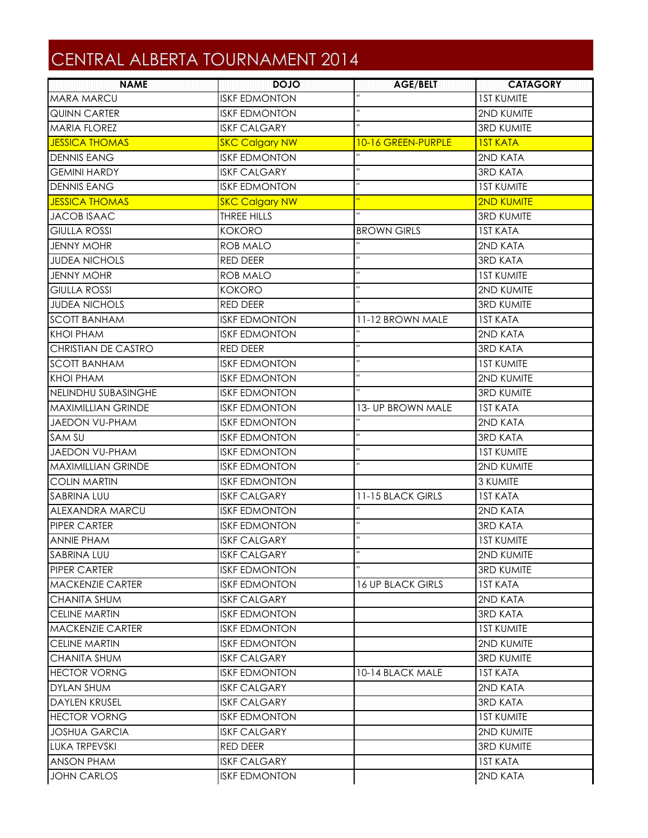## CENTRAL ALBERTA TOURNAMENT 2014

| <b>NAME</b>                | <b>DOJO</b>           | <b>AGE/BELT</b>          | <b>CATAGORY</b>   |
|----------------------------|-----------------------|--------------------------|-------------------|
| <b>MARA MARCU</b>          | <b>ISKF EDMONTON</b>  | Ĥ.                       | <b>IST KUMITE</b> |
| <b>QUINN CARTER</b>        | <b>ISKF EDMONTON</b>  | $\mathbf{H}$             | 2ND KUMITE        |
| <b>MARIA FLOREZ</b>        | <b>ISKF CALGARY</b>   | $\mathbf{H}$             | <b>3RD KUMITE</b> |
| <b>JESSICA THOMAS</b>      | <b>SKC Calgary NW</b> | 10-16 GREEN-PURPLE       | <b>IST KATA</b>   |
| <b>DENNIS EANG</b>         | <b>ISKF EDMONTON</b>  |                          | 2ND KATA          |
| <b>GEMINI HARDY</b>        | <b>ISKF CALGARY</b>   | $\mathbf{H}$             | <b>3RD KATA</b>   |
| <b>DENNIS EANG</b>         | <b>ISKF EDMONTON</b>  | Ĥ.                       | <b>1ST KUMITE</b> |
| <b>JESSICA THOMAS</b>      | <b>SKC Calgary NW</b> | $\mathbf{u}$             | <b>2ND KUMITE</b> |
| <b>JACOB ISAAC</b>         | THREE HILLS           | $\mathbf{H}$             | <b>3RD KUMITE</b> |
| <b>GIULLA ROSSI</b>        | <b>KOKORO</b>         | <b>BROWN GIRLS</b>       | <b>IST KATA</b>   |
| <b>JENNY MOHR</b>          | <b>ROB MALO</b>       |                          | 2ND KATA          |
| <b>JUDEA NICHOLS</b>       | <b>RED DEER</b>       | $\mathbf{H}$             | <b>3RD KATA</b>   |
| <b>JENNY MOHR</b>          | <b>ROB MALO</b>       | $\mathbf{H}$             | <b>IST KUMITE</b> |
| <b>GIULLA ROSSI</b>        | <b>KOKORO</b>         | $\bar{\mathbf{H}}$       | 2ND KUMITE        |
| <b>JUDEA NICHOLS</b>       | <b>RED DEER</b>       | $\bar{\mathbf{H}}$       | <b>3RD KUMITE</b> |
| <b>SCOTT BANHAM</b>        | <b>ISKF EDMONTON</b>  | 11-12 BROWN MALE         | <b>IST KATA</b>   |
| <b>KHOI PHAM</b>           | <b>ISKF EDMONTON</b>  | $\mathbf{H}$             | 2ND KATA          |
| <b>CHRISTIAN DE CASTRO</b> | <b>RED DEER</b>       | $\mathbf{H}$             | <b>3RD KATA</b>   |
| <b>SCOTT BANHAM</b>        | <b>ISKF EDMONTON</b>  | $\overline{\mathbf{u}}$  | <b>IST KUMITE</b> |
| <b>KHOI PHAM</b>           | <b>ISKF EDMONTON</b>  | $\bar{\mathbf{H}}$       | 2ND KUMITE        |
| NELINDHU SUBASINGHE        | <b>ISKF EDMONTON</b>  | n                        | <b>3RD KUMITE</b> |
| <b>MAXIMILLIAN GRINDE</b>  | <b>ISKF EDMONTON</b>  | 13- UP BROWN MALE        | <b>IST KATA</b>   |
| JAEDON VU-PHAM             | <b>ISKF EDMONTON</b>  | Ĥ.                       | 2ND KATA          |
| SAM SU                     | <b>ISKF EDMONTON</b>  | $\mathbf{H}$             | <b>3RD KATA</b>   |
| JAEDON VU-PHAM             | <b>ISKF EDMONTON</b>  | $\mathbf{H}$             | <b>IST KUMITE</b> |
| <b>MAXIMILLIAN GRINDE</b>  | <b>ISKF EDMONTON</b>  | Ĥ.                       | 2ND KUMITE        |
| <b>COLIN MARTIN</b>        | <b>ISKF EDMONTON</b>  |                          | 3 KUMITE          |
| <b>SABRINA LUU</b>         | <b>ISKF CALGARY</b>   | 11-15 BLACK GIRLS        | <b>IST KATA</b>   |
| ALEXANDRA MARCU            | <b>ISKF EDMONTON</b>  | $\overline{1}$           | 2ND KATA          |
| <b>PIPER CARTER</b>        | <b>ISKF EDMONTON</b>  | $\mathbf{H}$             | <b>3RD KATA</b>   |
| <b>ANNIE PHAM</b>          | <b>ISKF CALGARY</b>   | $\mathbf{H}$             | <b>1ST KUMITE</b> |
| SABRINA LUU                | <b>ISKF CALGARY</b>   | $\mathbf{H}$             | 2ND KUMITE        |
| <b>PIPER CARTER</b>        | <b>ISKF EDMONTON</b>  |                          | <b>3RD KUMITE</b> |
| <b>MACKENZIE CARTER</b>    | <b>ISKF EDMONTON</b>  | <b>16 UP BLACK GIRLS</b> | <b>IST KATA</b>   |
| <b>CHANITA SHUM</b>        | <b>ISKF CALGARY</b>   |                          | 2ND KATA          |
| <b>CELINE MARTIN</b>       | <b>ISKF EDMONTON</b>  |                          | <b>3RD KATA</b>   |
| <b>MACKENZIE CARTER</b>    | <b>ISKF EDMONTON</b>  |                          | <b>IST KUMITE</b> |
| <b>CELINE MARTIN</b>       | <b>ISKF EDMONTON</b>  |                          | 2ND KUMITE        |
| <b>CHANITA SHUM</b>        | <b>ISKF CALGARY</b>   |                          | <b>3RD KUMITE</b> |
| <b>HECTOR VORNG</b>        | <b>ISKF EDMONTON</b>  | 10-14 BLACK MALE         | <b>IST KATA</b>   |
| <b>DYLAN SHUM</b>          | <b>ISKF CALGARY</b>   |                          | 2ND KATA          |
| <b>DAYLEN KRUSEL</b>       | <b>ISKF CALGARY</b>   |                          | <b>3RD KATA</b>   |
| <b>HECTOR VORNG</b>        | <b>ISKF EDMONTON</b>  |                          | <b>IST KUMITE</b> |
| <b>JOSHUA GARCIA</b>       | <b>ISKF CALGARY</b>   |                          | 2ND KUMITE        |
| LUKA TRPEVSKI              | RED DEER              |                          | <b>3RD KUMITE</b> |
| <b>ANSON PHAM</b>          | <b>ISKF CALGARY</b>   |                          | <b>IST KATA</b>   |
| <b>JOHN CARLOS</b>         | <b>ISKF EDMONTON</b>  |                          | 2ND KATA          |